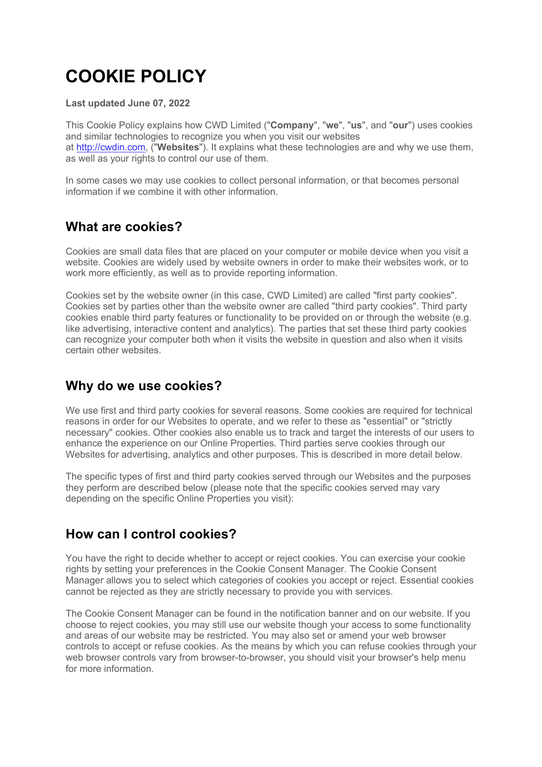# **COOKIE POLICY**

#### **Last updated June 07, 2022**

This Cookie Policy explains how CWD Limited ("**Company**", "**we**", "**us**", and "**our**") uses cookies and similar technologies to recognize you when you visit our websites at http://cwdin.com, ("**Websites**"). It explains what these technologies are and why we use them, as well as your rights to control our use of them.

In some cases we may use cookies to collect personal information, or that becomes personal information if we combine it with other information.

## **What are cookies?**

Cookies are small data files that are placed on your computer or mobile device when you visit a website. Cookies are widely used by website owners in order to make their websites work, or to work more efficiently, as well as to provide reporting information.

Cookies set by the website owner (in this case, CWD Limited) are called "first party cookies". Cookies set by parties other than the website owner are called "third party cookies". Third party cookies enable third party features or functionality to be provided on or through the website (e.g. like advertising, interactive content and analytics). The parties that set these third party cookies can recognize your computer both when it visits the website in question and also when it visits certain other websites.

## **Why do we use cookies?**

We use first and third party cookies for several reasons. Some cookies are required for technical reasons in order for our Websites to operate, and we refer to these as "essential" or "strictly necessary" cookies. Other cookies also enable us to track and target the interests of our users to enhance the experience on our Online Properties. Third parties serve cookies through our Websites for advertising, analytics and other purposes. This is described in more detail below.

The specific types of first and third party cookies served through our Websites and the purposes they perform are described below (please note that the specific cookies served may vary depending on the specific Online Properties you visit):

## **How can I control cookies?**

You have the right to decide whether to accept or reject cookies. You can exercise your cookie rights by setting your preferences in the Cookie Consent Manager. The Cookie Consent Manager allows you to select which categories of cookies you accept or reject. Essential cookies cannot be rejected as they are strictly necessary to provide you with services.

The Cookie Consent Manager can be found in the notification banner and on our website. If you choose to reject cookies, you may still use our website though your access to some functionality and areas of our website may be restricted. You may also set or amend your web browser controls to accept or refuse cookies. As the means by which you can refuse cookies through your web browser controls vary from browser-to-browser, you should visit your browser's help menu for more information.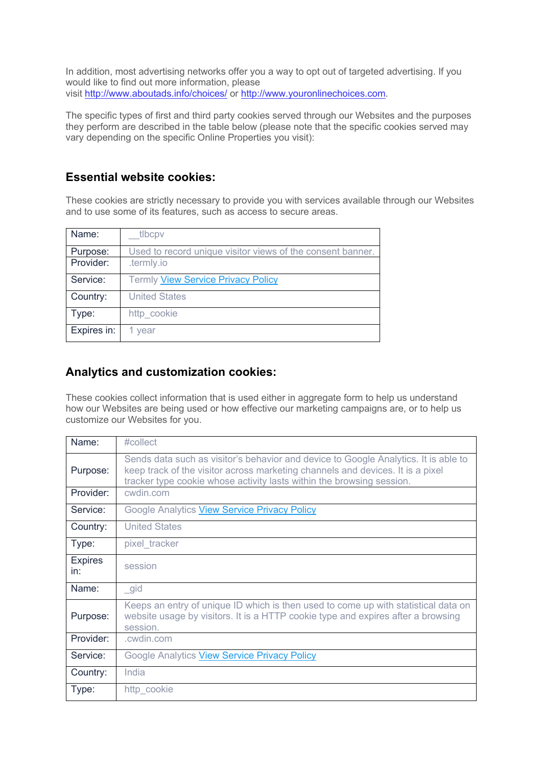In addition, most advertising networks offer you a way to opt out of targeted advertising. If you would like to find out more information, please visit http://www.aboutads.info/choices/ or http://www.youronlinechoices.com.

The specific types of first and third party cookies served through our Websites and the purposes they perform are described in the table below (please note that the specific cookies served may vary depending on the specific Online Properties you visit):

#### **Essential website cookies:**

These cookies are strictly necessary to provide you with services available through our Websites and to use some of its features, such as access to secure areas.

| Name:       | tlbcpv                                                     |
|-------------|------------------------------------------------------------|
| Purpose:    | Used to record unique visitor views of the consent banner. |
| Provider:   | .termly.io                                                 |
| Service:    | <b>Termly View Service Privacy Policy</b>                  |
| Country:    | <b>United States</b>                                       |
| Type:       | http cookie                                                |
| Expires in: | 1 year                                                     |

#### **Analytics and customization cookies:**

These cookies collect information that is used either in aggregate form to help us understand how our Websites are being used or how effective our marketing campaigns are, or to help us customize our Websites for you.

| Name:                 | #collect                                                                                                                                                                                                                                       |
|-----------------------|------------------------------------------------------------------------------------------------------------------------------------------------------------------------------------------------------------------------------------------------|
| Purpose:              | Sends data such as visitor's behavior and device to Google Analytics. It is able to<br>keep track of the visitor across marketing channels and devices. It is a pixel<br>tracker type cookie whose activity lasts within the browsing session. |
| Provider:             | cwdin.com                                                                                                                                                                                                                                      |
| Service:              | Google Analytics View Service Privacy Policy                                                                                                                                                                                                   |
| Country:              | <b>United States</b>                                                                                                                                                                                                                           |
| Type:                 | pixel_tracker                                                                                                                                                                                                                                  |
| <b>Expires</b><br>in: | session                                                                                                                                                                                                                                        |
| Name:                 | gid                                                                                                                                                                                                                                            |
| Purpose:              | Keeps an entry of unique ID which is then used to come up with statistical data on<br>website usage by visitors. It is a HTTP cookie type and expires after a browsing<br>session.                                                             |
| Provider:             | .cwdin.com                                                                                                                                                                                                                                     |
| Service:              | Google Analytics View Service Privacy Policy                                                                                                                                                                                                   |
| Country:              | India                                                                                                                                                                                                                                          |
| Type:                 | http_cookie                                                                                                                                                                                                                                    |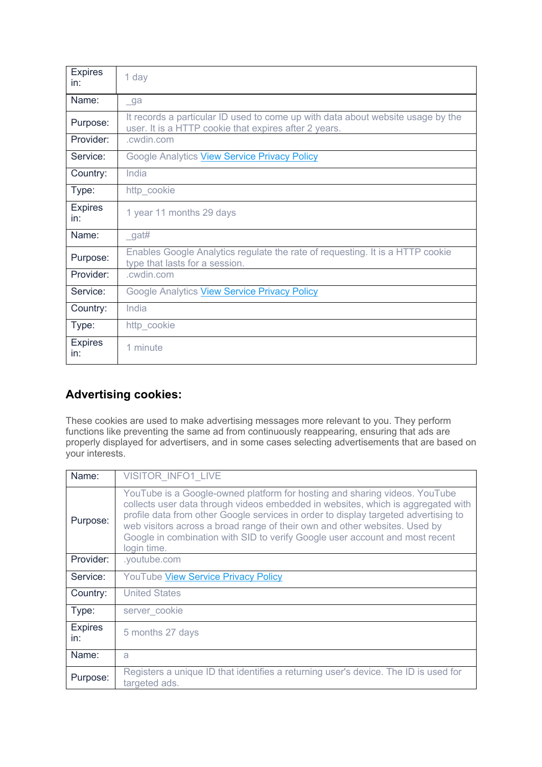| <b>Expires</b><br>in: | 1 day                                                                                                                                    |
|-----------------------|------------------------------------------------------------------------------------------------------------------------------------------|
| Name:                 | $\sqrt{g}a$                                                                                                                              |
| Purpose:              | It records a particular ID used to come up with data about website usage by the<br>user. It is a HTTP cookie that expires after 2 years. |
| Provider:             | .cwdin.com                                                                                                                               |
| Service:              | Google Analytics View Service Privacy Policy                                                                                             |
| Country:              | India                                                                                                                                    |
| Type:                 | http_cookie                                                                                                                              |
| <b>Expires</b><br>in: | 1 year 11 months 29 days                                                                                                                 |
| Name:                 | $\_$ gat#                                                                                                                                |
| Purpose:              | Enables Google Analytics regulate the rate of requesting. It is a HTTP cookie<br>type that lasts for a session.                          |
| Provider:             | .cwdin.com                                                                                                                               |
| Service:              | Google Analytics View Service Privacy Policy                                                                                             |
| Country:              | India                                                                                                                                    |
| Type:                 | http_cookie                                                                                                                              |
| <b>Expires</b><br>in: | 1 minute                                                                                                                                 |

#### **Advertising cookies:**

These cookies are used to make advertising messages more relevant to you. They perform functions like preventing the same ad from continuously reappearing, ensuring that ads are properly displayed for advertisers, and in some cases selecting advertisements that are based on your interests.

| Name:                 | <b>VISITOR INFO1 LIVE</b>                                                                                                                                                                                                                                                                                                                                                                                                          |
|-----------------------|------------------------------------------------------------------------------------------------------------------------------------------------------------------------------------------------------------------------------------------------------------------------------------------------------------------------------------------------------------------------------------------------------------------------------------|
| Purpose:              | YouTube is a Google-owned platform for hosting and sharing videos. YouTube<br>collects user data through videos embedded in websites, which is aggregated with<br>profile data from other Google services in order to display targeted advertising to<br>web visitors across a broad range of their own and other websites. Used by<br>Google in combination with SID to verify Google user account and most recent<br>login time. |
| Provider:             | .youtube.com                                                                                                                                                                                                                                                                                                                                                                                                                       |
| Service:              | <b>YouTube View Service Privacy Policy</b>                                                                                                                                                                                                                                                                                                                                                                                         |
| Country:              | <b>United States</b>                                                                                                                                                                                                                                                                                                                                                                                                               |
| Type:                 | server cookie                                                                                                                                                                                                                                                                                                                                                                                                                      |
| <b>Expires</b><br>in: | 5 months 27 days                                                                                                                                                                                                                                                                                                                                                                                                                   |
| Name:                 | a                                                                                                                                                                                                                                                                                                                                                                                                                                  |
| Purpose:              | Registers a unique ID that identifies a returning user's device. The ID is used for<br>targeted ads.                                                                                                                                                                                                                                                                                                                               |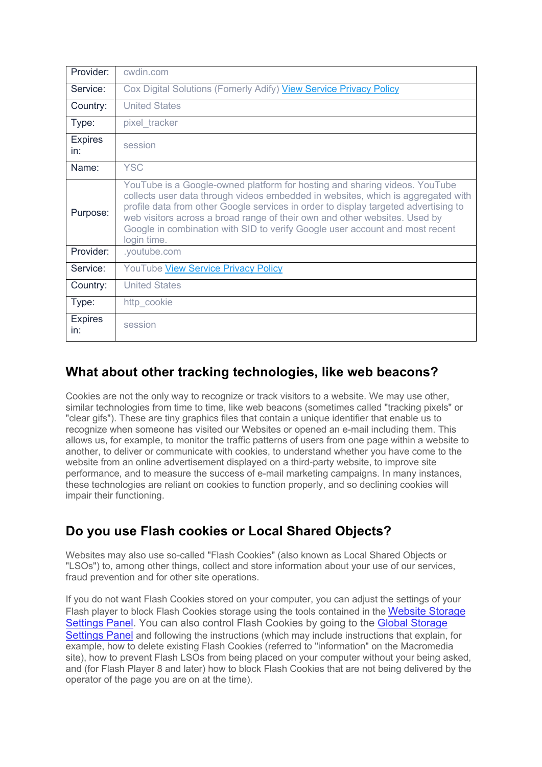| Provider:             | cwdin.com                                                                                                                                                                                                                                                                                                                                                                                                                          |
|-----------------------|------------------------------------------------------------------------------------------------------------------------------------------------------------------------------------------------------------------------------------------------------------------------------------------------------------------------------------------------------------------------------------------------------------------------------------|
| Service:              | Cox Digital Solutions (Fomerly Adify) View Service Privacy Policy                                                                                                                                                                                                                                                                                                                                                                  |
| Country:              | <b>United States</b>                                                                                                                                                                                                                                                                                                                                                                                                               |
| Type:                 | pixel_tracker                                                                                                                                                                                                                                                                                                                                                                                                                      |
| <b>Expires</b><br>in: | session                                                                                                                                                                                                                                                                                                                                                                                                                            |
| Name:                 | <b>YSC</b>                                                                                                                                                                                                                                                                                                                                                                                                                         |
| Purpose:              | YouTube is a Google-owned platform for hosting and sharing videos. YouTube<br>collects user data through videos embedded in websites, which is aggregated with<br>profile data from other Google services in order to display targeted advertising to<br>web visitors across a broad range of their own and other websites. Used by<br>Google in combination with SID to verify Google user account and most recent<br>login time. |
| Provider:             | .youtube.com                                                                                                                                                                                                                                                                                                                                                                                                                       |
| Service:              | YouTube View Service Privacy Policy                                                                                                                                                                                                                                                                                                                                                                                                |
| Country:              | <b>United States</b>                                                                                                                                                                                                                                                                                                                                                                                                               |
| Type:                 | http_cookie                                                                                                                                                                                                                                                                                                                                                                                                                        |
| <b>Expires</b><br>in: | session                                                                                                                                                                                                                                                                                                                                                                                                                            |

## **What about other tracking technologies, like web beacons?**

Cookies are not the only way to recognize or track visitors to a website. We may use other, similar technologies from time to time, like web beacons (sometimes called "tracking pixels" or "clear gifs"). These are tiny graphics files that contain a unique identifier that enable us to recognize when someone has visited our Websites or opened an e-mail including them. This allows us, for example, to monitor the traffic patterns of users from one page within a website to another, to deliver or communicate with cookies, to understand whether you have come to the website from an online advertisement displayed on a third-party website, to improve site performance, and to measure the success of e-mail marketing campaigns. In many instances, these technologies are reliant on cookies to function properly, and so declining cookies will impair their functioning.

## **Do you use Flash cookies or Local Shared Objects?**

Websites may also use so-called "Flash Cookies" (also known as Local Shared Objects or "LSOs") to, among other things, collect and store information about your use of our services, fraud prevention and for other site operations.

If you do not want Flash Cookies stored on your computer, you can adjust the settings of your Flash player to block Flash Cookies storage using the tools contained in the Website Storage Settings Panel. You can also control Flash Cookies by going to the Global Storage Settings Panel and following the instructions (which may include instructions that explain, for example, how to delete existing Flash Cookies (referred to "information" on the Macromedia site), how to prevent Flash LSOs from being placed on your computer without your being asked, and (for Flash Player 8 and later) how to block Flash Cookies that are not being delivered by the operator of the page you are on at the time).